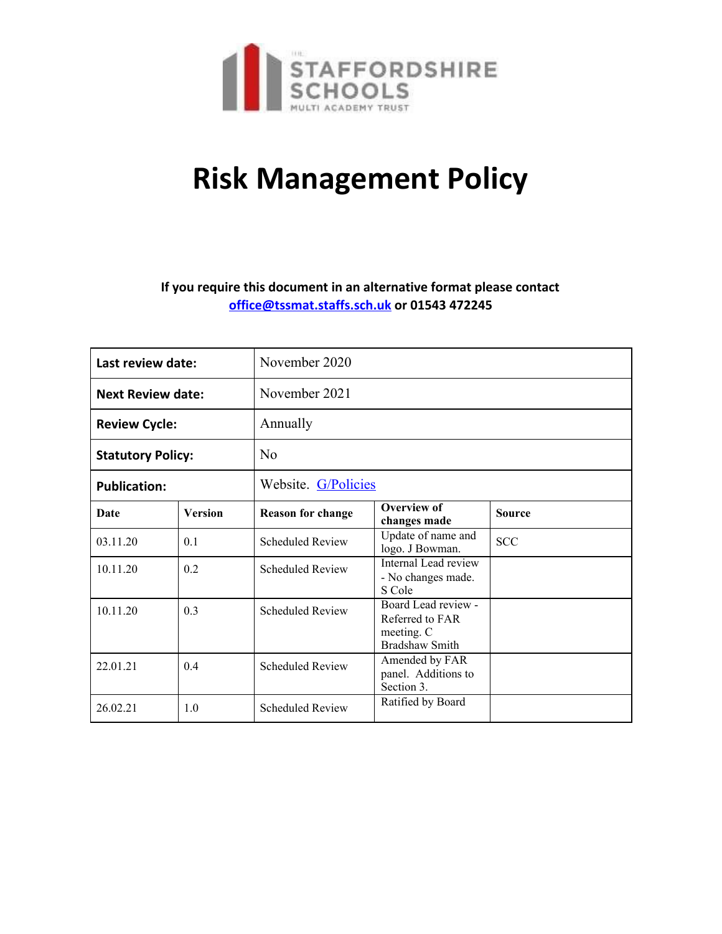

# **Risk Management Policy**

## **If you require this document in an alternative format please contact [office@tssmat.staffs.sch.uk](mailto:office@tssmat.staffs.sch.uk) or 01543 472245**

| Last review date:        |                | November 2020            |                                                                        |               |
|--------------------------|----------------|--------------------------|------------------------------------------------------------------------|---------------|
| <b>Next Review date:</b> |                | November 2021            |                                                                        |               |
| <b>Review Cycle:</b>     |                | Annually                 |                                                                        |               |
| <b>Statutory Policy:</b> |                | No                       |                                                                        |               |
| <b>Publication:</b>      |                | Website. G/Policies      |                                                                        |               |
| Date                     | <b>Version</b> | <b>Reason for change</b> | <b>Overview of</b><br>changes made                                     | <b>Source</b> |
| 03.11.20                 | 0 <sub>1</sub> | <b>Scheduled Review</b>  | Update of name and<br>logo. J Bowman.                                  | <b>SCC</b>    |
| 10.11.20                 | 0.2            | <b>Scheduled Review</b>  | Internal Lead review<br>- No changes made.<br>S Cole                   |               |
| 10.11.20                 | 0 <sup>3</sup> | <b>Scheduled Review</b>  | Board Lead review -<br>Referred to FAR<br>meeting. C<br>Bradshaw Smith |               |
| 22.01.21                 | 04             | <b>Scheduled Review</b>  | Amended by FAR<br>panel. Additions to<br>Section 3.                    |               |
| 26.02.21                 | 1.0            | <b>Scheduled Review</b>  | Ratified by Board                                                      |               |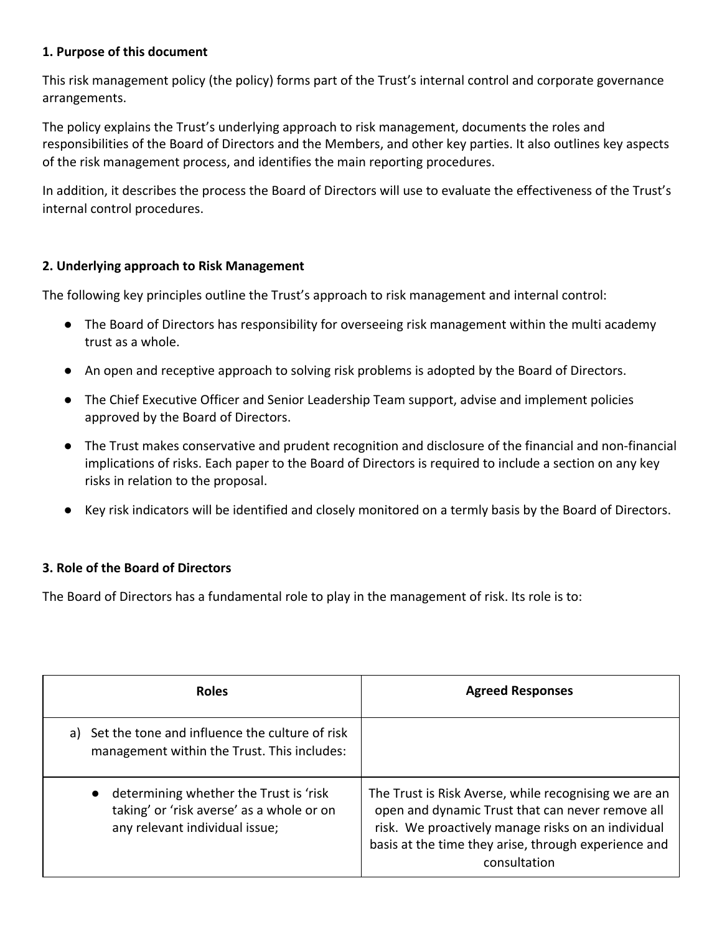## **1. Purpose of this document**

This risk management policy (the policy) forms part of the Trust's internal control and corporate governance arrangements.

The policy explains the Trust's underlying approach to risk management, documents the roles and responsibilities of the Board of Directors and the Members, and other key parties. It also outlines key aspects of the risk management process, and identifies the main reporting procedures.

In addition, it describes the process the Board of Directors will use to evaluate the effectiveness of the Trust's internal control procedures.

#### **2. Underlying approach to Risk Management**

The following key principles outline the Trust's approach to risk management and internal control:

- The Board of Directors has responsibility for overseeing risk management within the multi academy trust as a whole.
- An open and receptive approach to solving risk problems is adopted by the Board of Directors.
- The Chief Executive Officer and Senior Leadership Team support, advise and implement policies approved by the Board of Directors.
- The Trust makes conservative and prudent recognition and disclosure of the financial and non-financial implications of risks. Each paper to the Board of Directors is required to include a section on any key risks in relation to the proposal.
- Key risk indicators will be identified and closely monitored on a termly basis by the Board of Directors.

## **3. Role of the Board of Directors**

The Board of Directors has a fundamental role to play in the management of risk. Its role is to:

| <b>Roles</b>                                                                                                                       | <b>Agreed Responses</b>                                                                                                                                                                                                                 |
|------------------------------------------------------------------------------------------------------------------------------------|-----------------------------------------------------------------------------------------------------------------------------------------------------------------------------------------------------------------------------------------|
| a) Set the tone and influence the culture of risk<br>management within the Trust. This includes:                                   |                                                                                                                                                                                                                                         |
| determining whether the Trust is 'risk<br>$\bullet$<br>taking' or 'risk averse' as a whole or on<br>any relevant individual issue; | The Trust is Risk Averse, while recognising we are an<br>open and dynamic Trust that can never remove all<br>risk. We proactively manage risks on an individual<br>basis at the time they arise, through experience and<br>consultation |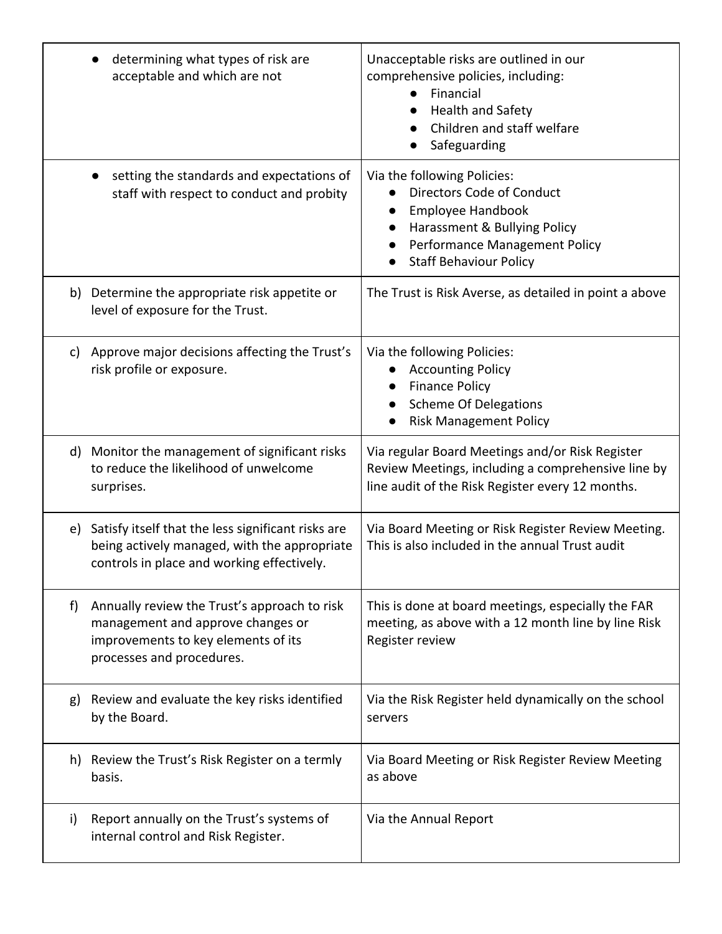|    | determining what types of risk are<br>acceptable and which are not                                                                                    | Unacceptable risks are outlined in our<br>comprehensive policies, including:<br>Financial<br><b>Health and Safety</b><br>Children and staff welfare<br>Safeguarding             |
|----|-------------------------------------------------------------------------------------------------------------------------------------------------------|---------------------------------------------------------------------------------------------------------------------------------------------------------------------------------|
|    | setting the standards and expectations of<br>staff with respect to conduct and probity                                                                | Via the following Policies:<br>Directors Code of Conduct<br>Employee Handbook<br>Harassment & Bullying Policy<br>Performance Management Policy<br><b>Staff Behaviour Policy</b> |
|    | b) Determine the appropriate risk appetite or<br>level of exposure for the Trust.                                                                     | The Trust is Risk Averse, as detailed in point a above                                                                                                                          |
| C) | Approve major decisions affecting the Trust's<br>risk profile or exposure.                                                                            | Via the following Policies:<br><b>Accounting Policy</b><br><b>Finance Policy</b><br><b>Scheme Of Delegations</b><br><b>Risk Management Policy</b>                               |
|    | d) Monitor the management of significant risks<br>to reduce the likelihood of unwelcome<br>surprises.                                                 | Via regular Board Meetings and/or Risk Register<br>Review Meetings, including a comprehensive line by<br>line audit of the Risk Register every 12 months.                       |
| e) | Satisfy itself that the less significant risks are<br>being actively managed, with the appropriate<br>controls in place and working effectively.      | Via Board Meeting or Risk Register Review Meeting.<br>This is also included in the annual Trust audit                                                                           |
| f  | Annually review the Trust's approach to risk<br>management and approve changes or<br>improvements to key elements of its<br>processes and procedures. | This is done at board meetings, especially the FAR<br>meeting, as above with a 12 month line by line Risk<br>Register review                                                    |
| g) | Review and evaluate the key risks identified<br>by the Board.                                                                                         | Via the Risk Register held dynamically on the school<br>servers                                                                                                                 |
|    | h) Review the Trust's Risk Register on a termly<br>basis.                                                                                             | Via Board Meeting or Risk Register Review Meeting<br>as above                                                                                                                   |
| i) | Report annually on the Trust's systems of<br>internal control and Risk Register.                                                                      | Via the Annual Report                                                                                                                                                           |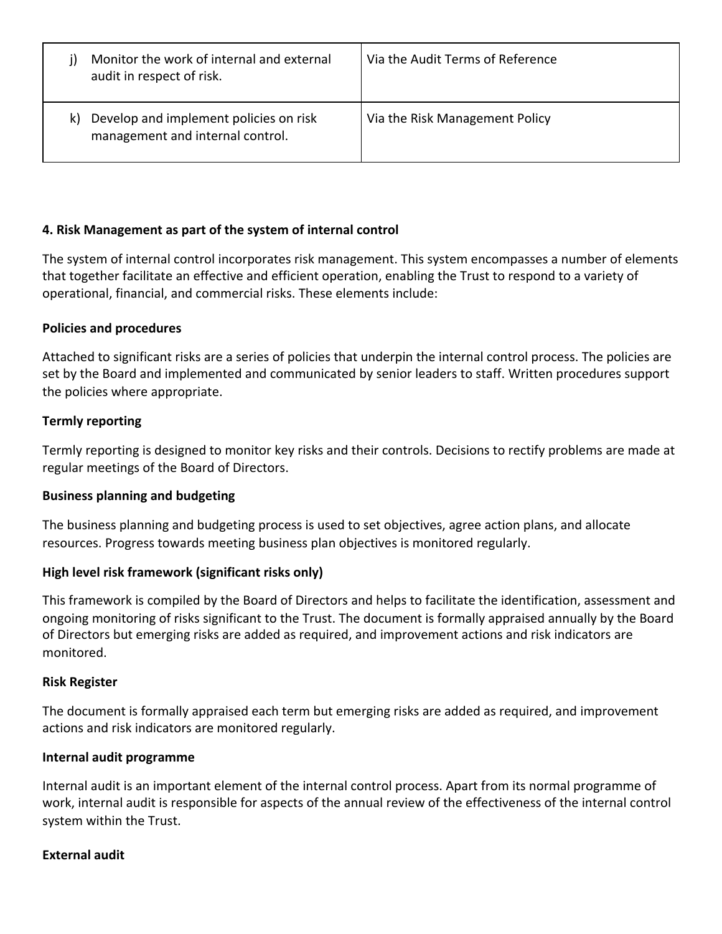|    | Monitor the work of internal and external<br>audit in respect of risk.     | Via the Audit Terms of Reference |
|----|----------------------------------------------------------------------------|----------------------------------|
| k) | Develop and implement policies on risk<br>management and internal control. | Via the Risk Management Policy   |

## **4. Risk Management as part of the system of internal control**

The system of internal control incorporates risk management. This system encompasses a number of elements that together facilitate an effective and efficient operation, enabling the Trust to respond to a variety of operational, financial, and commercial risks. These elements include:

## **Policies and procedures**

Attached to significant risks are a series of policies that underpin the internal control process. The policies are set by the Board and implemented and communicated by senior leaders to staff. Written procedures support the policies where appropriate.

## **Termly reporting**

Termly reporting is designed to monitor key risks and their controls. Decisions to rectify problems are made at regular meetings of the Board of Directors.

## **Business planning and budgeting**

The business planning and budgeting process is used to set objectives, agree action plans, and allocate resources. Progress towards meeting business plan objectives is monitored regularly.

## **High level risk framework (significant risks only)**

This framework is compiled by the Board of Directors and helps to facilitate the identification, assessment and ongoing monitoring of risks significant to the Trust. The document is formally appraised annually by the Board of Directors but emerging risks are added as required, and improvement actions and risk indicators are monitored.

#### **Risk Register**

The document is formally appraised each term but emerging risks are added as required, and improvement actions and risk indicators are monitored regularly.

#### **Internal audit programme**

Internal audit is an important element of the internal control process. Apart from its normal programme of work, internal audit is responsible for aspects of the annual review of the effectiveness of the internal control system within the Trust.

#### **External audit**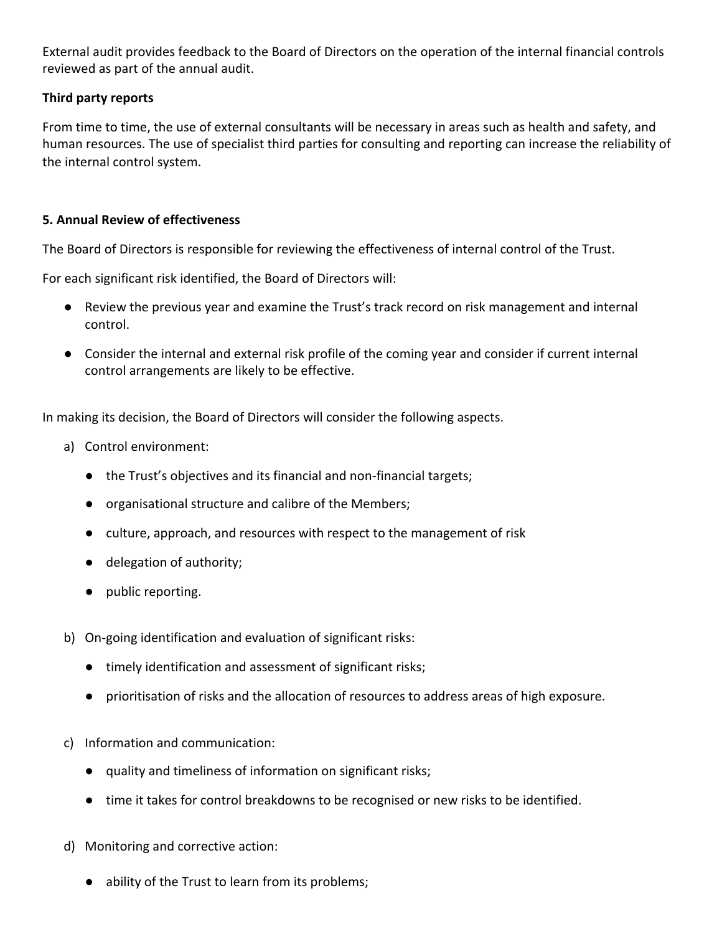External audit provides feedback to the Board of Directors on the operation of the internal financial controls reviewed as part of the annual audit.

## **Third party reports**

From time to time, the use of external consultants will be necessary in areas such as health and safety, and human resources. The use of specialist third parties for consulting and reporting can increase the reliability of the internal control system.

## **5. Annual Review of effectiveness**

The Board of Directors is responsible for reviewing the effectiveness of internal control of the Trust.

For each significant risk identified, the Board of Directors will:

- Review the previous year and examine the Trust's track record on risk management and internal control.
- Consider the internal and external risk profile of the coming year and consider if current internal control arrangements are likely to be effective.

In making its decision, the Board of Directors will consider the following aspects.

- a) Control environment:
	- the Trust's objectives and its financial and non-financial targets;
	- organisational structure and calibre of the Members;
	- culture, approach, and resources with respect to the management of risk
	- delegation of authority;
	- public reporting.
- b) On-going identification and evaluation of significant risks:
	- timely identification and assessment of significant risks;
	- prioritisation of risks and the allocation of resources to address areas of high exposure.
- c) Information and communication:
	- quality and timeliness of information on significant risks;
	- time it takes for control breakdowns to be recognised or new risks to be identified.
- d) Monitoring and corrective action:
	- ability of the Trust to learn from its problems;